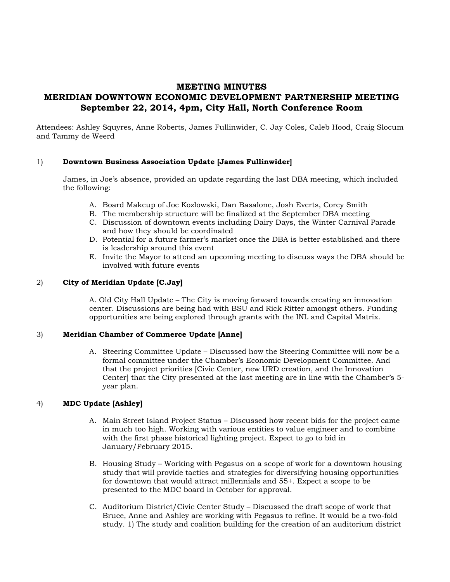# **MEETING MINUTES MERIDIAN DOWNTOWN ECONOMIC DEVELOPMENT PARTNERSHIP MEETING September 22, 2014, 4pm, City Hall, North Conference Room**

Attendees: Ashley Squyres, Anne Roberts, James Fullinwider, C. Jay Coles, Caleb Hood, Craig Slocum and Tammy de Weerd

## 1) **Downtown Business Association Update [James Fullinwider]**

James, in Joe's absence, provided an update regarding the last DBA meeting, which included the following:

- A. Board Makeup of Joe Kozlowski, Dan Basalone, Josh Everts, Corey Smith
- B. The membership structure will be finalized at the September DBA meeting
- C. Discussion of downtown events including Dairy Days, the Winter Carnival Parade and how they should be coordinated
- D. Potential for a future farmer's market once the DBA is better established and there is leadership around this event
- E. Invite the Mayor to attend an upcoming meeting to discuss ways the DBA should be involved with future events

#### 2) **City of Meridian Update [C.Jay]**

A. Old City Hall Update – The City is moving forward towards creating an innovation center. Discussions are being had with BSU and Rick Ritter amongst others. Funding opportunities are being explored through grants with the INL and Capital Matrix.

#### 3) **Meridian Chamber of Commerce Update [Anne]**

A. Steering Committee Update – Discussed how the Steering Committee will now be a formal committee under the Chamber's Economic Development Committee. And that the project priorities [Civic Center, new URD creation, and the Innovation Center] that the City presented at the last meeting are in line with the Chamber's 5 year plan.

## 4) **MDC Update [Ashley]**

- A. Main Street Island Project Status Discussed how recent bids for the project came in much too high. Working with various entities to value engineer and to combine with the first phase historical lighting project. Expect to go to bid in January/February 2015.
- B. Housing Study Working with Pegasus on a scope of work for a downtown housing study that will provide tactics and strategies for diversifying housing opportunities for downtown that would attract millennials and 55+. Expect a scope to be presented to the MDC board in October for approval.
- C. Auditorium District/Civic Center Study Discussed the draft scope of work that Bruce, Anne and Ashley are working with Pegasus to refine. It would be a two-fold study. 1) The study and coalition building for the creation of an auditorium district